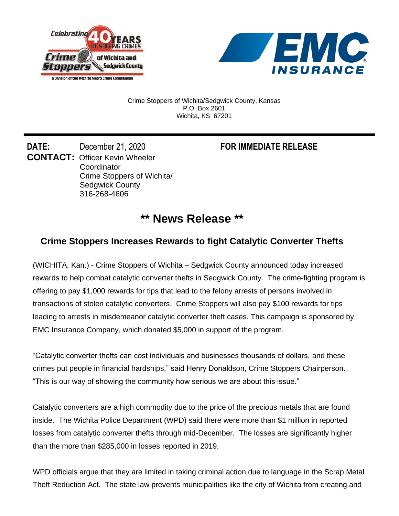



Crime Stoppers of Wichita/Sedgwick County, Kansas P.O. Box 2601 Wichita, KS 67201

**DATE:** December 21, 2020 **FOR IMMEDIATE RELEASE CONTACT:** Officer Kevin Wheeler **Coordinator** Crime Stoppers of Wichita/ Sedgwick County 316-268-4606

## **\*\* News Release \*\***

## **Crime Stoppers Increases Rewards to fight Catalytic Converter Thefts**

(WICHITA, Kan.) - Crime Stoppers of Wichita – Sedgwick County announced today increased rewards to help combat catalytic converter thefts in Sedgwick County. The crime-fighting program is offering to pay \$1,000 rewards for tips that lead to the felony arrests of persons involved in transactions of stolen catalytic converters. Crime Stoppers will also pay \$100 rewards for tips leading to arrests in misdemeanor catalytic converter theft cases. This campaign is sponsored by EMC Insurance Company, which donated \$5,000 in support of the program.

"Catalytic converter thefts can cost individuals and businesses thousands of dollars, and these crimes put people in financial hardships," said Henry Donaldson, Crime Stoppers Chairperson. "This is our way of showing the community how serious we are about this issue."

Catalytic converters are a high commodity due to the price of the precious metals that are found inside. The Wichita Police Department (WPD) said there were more than \$1 million in reported losses from catalytic converter thefts through mid-December. The losses are significantly higher than the more than \$285,000 in losses reported in 2019.

WPD officials argue that they are limited in taking criminal action due to language in the Scrap Metal Theft Reduction Act. The state law prevents municipalities like the city of Wichita from creating and